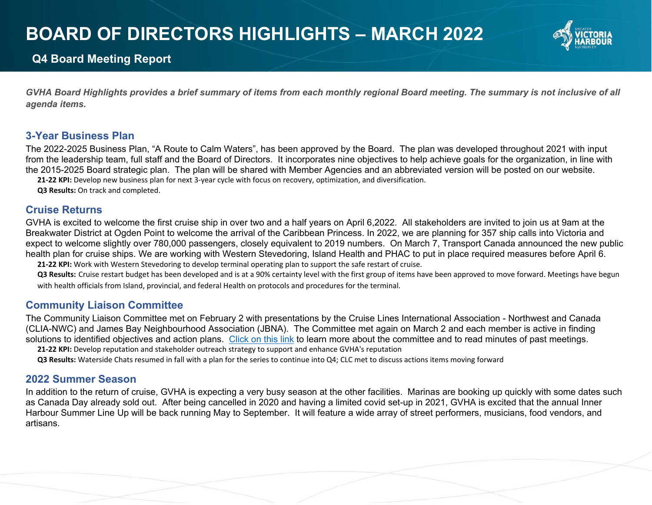# **BOARD OF DIRECTORS HIGHLIGHTS – MARCH 2022**



# **Q4 Board Meeting Report**

*GVHA Board Highlights provides a brief summary of items from each monthly regional Board meeting. The summary is not inclusive of all agenda items.*

## **3-Year Business Plan**

The 2022-2025 Business Plan, "A Route to Calm Waters", has been approved by the Board. The plan was developed throughout 2021 with input from the leadership team, full staff and the Board of Directors. It incorporates nine objectives to help achieve goals for the organization, in line with the 2015-2025 Board strategic plan. The plan will be shared with Member Agencies and an abbreviated version will be posted on our website.

**21-22 KPI:** Develop new business plan for next 3-year cycle with focus on recovery, optimization, and diversification.

**Q3 Results:** On track and completed.

## **Cruise Returns**

GVHA is excited to welcome the first cruise ship in over two and a half years on April 6,2022. All stakeholders are invited to join us at 9am at the Breakwater District at Ogden Point to welcome the arrival of the Caribbean Princess. In 2022, we are planning for 357 ship calls into Victoria and expect to welcome slightly over 780,000 passengers, closely equivalent to 2019 numbers. On March 7, Transport Canada announced the new public health plan for cruise ships. We are working with Western Stevedoring, Island Health and PHAC to put in place required measures before April 6. **21-22 KPI:** Work with Western Stevedoring to develop terminal operating plan to support the safe restart of cruise.

**Q3 Results:** Cruise restart budget has been developed and is at a 90% certainty level with the first group of items have been approved to move forward. Meetings have begun with health officials from Island, provincial, and federal Health on protocols and procedures for the terminal.

# **Community Liaison Committee**

The Community Liaison Committee met on February 2 with presentations by the Cruise Lines International Association - Northwest and Canada (CLIA-NWC) and James Bay Neighbourhood Association (JBNA). The Committee met again on March 2 and each member is active in finding solutions to identified objectives and action plans. [Click on this link](https://gvha.ca/community-liaison-committee/) to learn more about the committee and to read minutes of past meetings.

**21-22 KPI:** Develop reputation and stakeholder outreach strategy to support and enhance GVHA's reputation

**Q3 Results:** Waterside Chats resumed in fall with a plan for the series to continue into Q4; CLC met to discuss actions items moving forward

# **2022 Summer Season**

In addition to the return of cruise, GVHA is expecting a very busy season at the other facilities. Marinas are booking up quickly with some dates such as Canada Day already sold out. After being cancelled in 2020 and having a limited covid set-up in 2021, GVHA is excited that the annual Inner Harbour Summer Line Up will be back running May to September. It will feature a wide array of street performers, musicians, food vendors, and artisans.